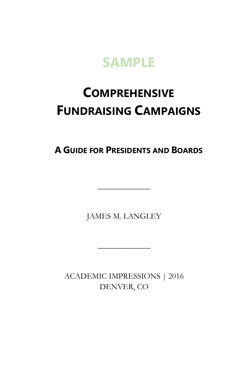

# **COMPREHENSIVE FUNDRAISING CAMPAIGNS**

**A GUIDE FOR PRESIDENTS AND BOARDS**

JAMES M. LANGLEY

 $\frac{1}{2}$ 

 $\frac{1}{2}$ 

ACADEMIC IMPRESSIONS | 2016 DENVER, CO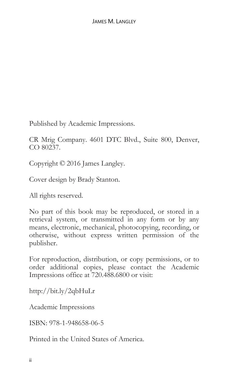Published by Academic Impressions.

CR Mrig Company. 4601 DTC Blvd., Suite 800, Denver, CO 80237.

Copyright © 2016 James Langley.

Cover design by Brady Stanton.

All rights reserved.

No part of this book may be reproduced, or stored in a retrieval system, or transmitted in any form or by any means, electronic, mechanical, photocopying, recording, or otherwise, without express written permission of the publisher.

For reproduction, distribution, or copy permissions, or to order additional copies, please contact the Academic Impressions office at 720.488.6800 or visit:

http://bit.ly/2qbHuLr

Academic Impressions

ISBN: 978-1-948658-06-5

Printed in the United States of America.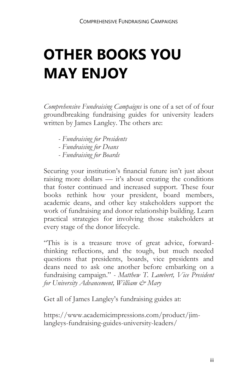# **OTHER BOOKS YOU MAY ENJOY**

*Comprehensive Fundraising Campaigns* is one of a set of of four groundbreaking fundraising guides for university leaders written by James Langley. The others are:

- *- Fundraising for Presidents*
- *- Fundraising for Deans*
- *- Fundraising for Boards*

Securing your institution's financial future isn't just about raising more dollars — it's about creating the conditions that foster continued and increased support. These four books rethink how your president, board members, academic deans, and other key stakeholders support the work of fundraising and donor relationship building. Learn practical strategies for involving those stakeholders at every stage of the donor lifecycle.

"This is is a treasure trove of great advice, forwardthinking reflections, and the tough, but much needed questions that presidents, boards, vice presidents and deans need to ask one another before embarking on a fundraising campaign." *- Matthew T. Lambert, Vice President for University Advancement, William & Mary*

Get all of James Langley's fundraising guides at:

https://www.academicimpressions.com/product/jimlangleys-fundraising-guides-university-leaders/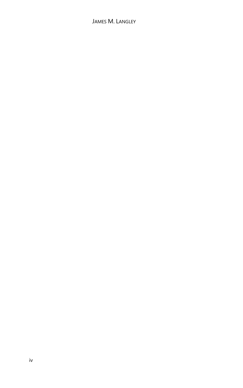#### JAMES M. LANGLEY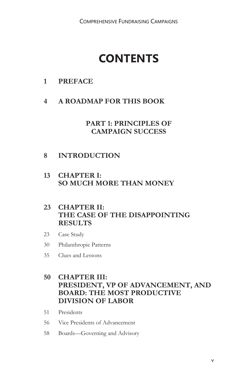# **CONTENTS**

- **1 PREFACE**
- **4 A ROADMAP FOR THIS BOOK**

### **PART 1: PRINCIPLES OF CAMPAIGN SUCCESS**

- **8 INTRODUCTION**
- **13 CHAPTER I: SO MUCH MORE THAN MONEY**
- **23 CHAPTER II: THE CASE OF THE DISAPPOINTING RESULTS**
- 23 Case Study
- 30 Philanthropic Patterns
- 35 Clues and Lessons

#### **50 CHAPTER III: PRESIDENT, VP OF ADVANCEMENT, AND BOARD: THE MOST PRODUCTIVE DIVISION OF LABOR**

- 51 Presidents
- 56 Vice Presidents of Advancement
- 58 Boards—Governing and Advisory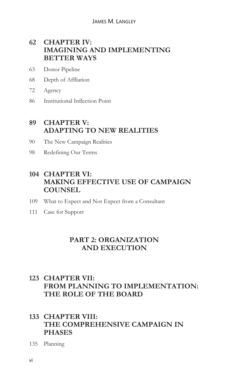### **62 CHAPTER IV: IMAGINING AND IMPLEMENTING BETTER WAYS**

- 63 Donor Pipeline
- 68 Depth of Affliation
- 72 Agency
- 86 Institutional Inflection Point

### **89 CHAPTER V: ADAPTING TO NEW REALITIES**

- 90 The New Campaign Realities
- 98 Redefining Our Terms

#### **104 CHAPTER VI: MAKING EFFECTIVE USE OF CAMPAIGN COUNSEL**

- 109 What to Expect and Not Expect from a Consultant
- 111 Case for Support

#### **PART 2: ORGANIZATION AND EXECUTION**

### **123 CHAPTER VII: FROM PLANNING TO IMPLEMENTATION: THE ROLE OF THE BOARD**

### **133 CHAPTER VIII: THE COMPREHENSIVE CAMPAIGN IN PHASES**

135 Planning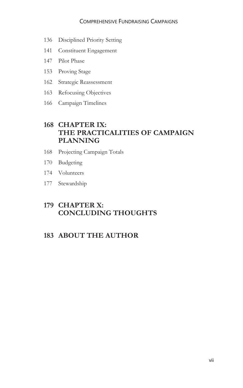#### COMPREHENSIVE FUNDRAISING CAMPAIGNS

- Disciplined Priority Setting
- Constituent Engagement
- Pilot Phase
- Proving Stage
- Strategic Reassessment
- Refocusing Objectives
- Campaign Timelines

#### **CHAPTER IX: THE PRACTICALITIES OF CAMPAIGN PLANNING**

- Projecting Campaign Totals
- Budgeting
- Volunteers
- Stewardship

#### **CHAPTER X: CONCLUDING THOUGHTS**

### **ABOUT THE AUTHOR**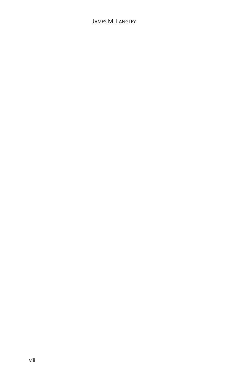#### JAMES M. LANGLEY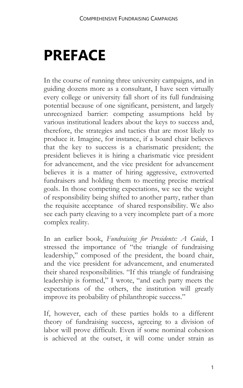# **PREFACE**

In the course of running three university campaigns, and in guiding dozens more as a consultant, I have seen virtually every college or university fall short of its full fundraising potential because of one significant, persistent, and largely unrecognized barrier: competing assumptions held by various institutional leaders about the keys to success and, therefore, the strategies and tactics that are most likely to produce it. Imagine, for instance, if a board chair believes that the key to success is a charismatic president; the president believes it is hiring a charismatic vice president for advancement, and the vice president for advancement believes it is a matter of hiring aggressive, extroverted fundraisers and holding them to meeting precise metrical goals. In those competing expectations, we see the weight of responsibility being shifted to another party, rather than the requisite acceptance of shared responsibility. We also see each party cleaving to a very incomplete part of a more complex reality.

In an earlier book, *Fundraising for Presidents: A Guide*, I stressed the importance of "the triangle of fundraising leadership," composed of the president, the board chair, and the vice president for advancement, and enumerated their shared responsibilities. "If this triangle of fundraising leadership is formed," I wrote, "and each party meets the expectations of the others, the institution will greatly improve its probability of philanthropic success."

If, however, each of these parties holds to a different theory of fundraising success, agreeing to a division of labor will prove difficult. Even if some nominal cohesion is achieved at the outset, it will come under strain as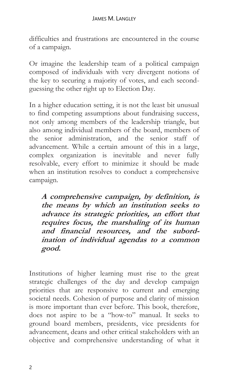difficulties and frustrations are encountered in the course of a campaign.

Or imagine the leadership team of a political campaign composed of individuals with very divergent notions of the key to securing a majority of votes, and each secondguessing the other right up to Election Day.

In a higher education setting, it is not the least bit unusual to find competing assumptions about fundraising success, not only among members of the leadership triangle, but also among individual members of the board, members of the senior administration, and the senior staff of advancement. While a certain amount of this in a large, complex organization is inevitable and never fully resolvable, every effort to minimize it should be made when an institution resolves to conduct a comprehensive campaign.

**A comprehensive campaign, by definition, is the means by which an institution seeks to advance its strategic priorities, an effort that requires focus, the marshaling of its human and financial resources, and the subordination of individual agendas to a common good.**

Institutions of higher learning must rise to the great strategic challenges of the day and develop campaign priorities that are responsive to current and emerging societal needs. Cohesion of purpose and clarity of mission is more important than ever before. This book, therefore, does not aspire to be a "how-to" manual. It seeks to ground board members, presidents, vice presidents for advancement, deans and other critical stakeholders with an objective and comprehensive understanding of what it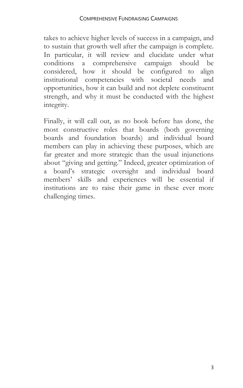takes to achieve higher levels of success in a campaign, and to sustain that growth well after the campaign is complete. In particular, it will review and elucidate under what conditions a comprehensive campaign should be considered, how it should be configured to align institutional competencies with societal needs and opportunities, how it can build and not deplete constituent strength, and why it must be conducted with the highest integrity.

Finally, it will call out, as no book before has done, the most constructive roles that boards (both governing boards and foundation boards) and individual board members can play in achieving these purposes, which are far greater and more strategic than the usual injunctions about "giving and getting." Indeed, greater optimization of a board's strategic oversight and individual board members' skills and experiences will be essential if institutions are to raise their game in these ever more challenging times.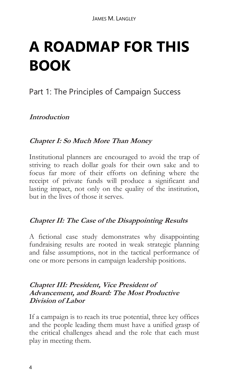# **A ROADMAP FOR THIS BOOK**

# Part 1: The Principles of Campaign Success

### **Introduction**

#### **Chapter I: So Much More Than Money**

Institutional planners are encouraged to avoid the trap of striving to reach dollar goals for their own sake and to focus far more of their efforts on defining where the receipt of private funds will produce a significant and lasting impact, not only on the quality of the institution, but in the lives of those it serves.

### **Chapter II: The Case of the Disappointing Results**

A fictional case study demonstrates why disappointing fundraising results are rooted in weak strategic planning and false assumptions, not in the tactical performance of one or more persons in campaign leadership positions.

#### **Chapter III: President, Vice President of Advancement, and Board: The Most Productive Division of Labor**

If a campaign is to reach its true potential, three key offices and the people leading them must have a unified grasp of the critical challenges ahead and the role that each must play in meeting them.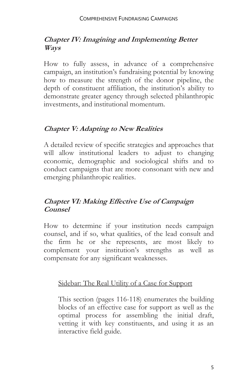# **Chapter IV: Imagining and Implementing Better Ways**

How to fully assess, in advance of a comprehensive campaign, an institution's fundraising potential by knowing how to measure the strength of the donor pipeline, the depth of constituent affiliation, the institution's ability to demonstrate greater agency through selected philanthropic investments, and institutional momentum.

# **Chapter V: Adapting to New Realities**

A detailed review of specific strategies and approaches that will allow institutional leaders to adjust to changing economic, demographic and sociological shifts and to conduct campaigns that are more consonant with new and emerging philanthropic realities.

# **Chapter VI: Making Effective Use of Campaign Counsel**

How to determine if your institution needs campaign counsel, and if so, what qualities, of the lead consult and the firm he or she represents, are most likely to complement your institution's strengths as well as compensate for any significant weaknesses.

# Sidebar: The Real Utility of a Case for Support

This section (pages 116-118) enumerates the building blocks of an effective case for support as well as the optimal process for assembling the initial draft, vetting it with key constituents, and using it as an interactive field guide.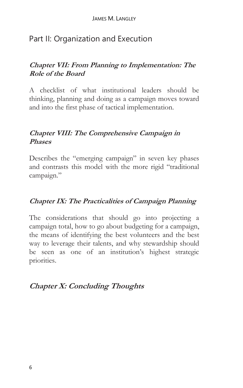# Part II: Organization and Execution

### **Chapter VII: From Planning to Implementation: The Role of the Board**

A checklist of what institutional leaders should be thinking, planning and doing as a campaign moves toward and into the first phase of tactical implementation.

### **Chapter VIII: The Comprehensive Campaign in Phases**

Describes the "emerging campaign" in seven key phases and contrasts this model with the more rigid "traditional campaign."

### **Chapter IX: The Practicalities of Campaign Planning**

The considerations that should go into projecting a campaign total, how to go about budgeting for a campaign, the means of identifying the best volunteers and the best way to leverage their talents, and why stewardship should be seen as one of an institution's highest strategic priorities.

# **Chapter X: Concluding Thoughts**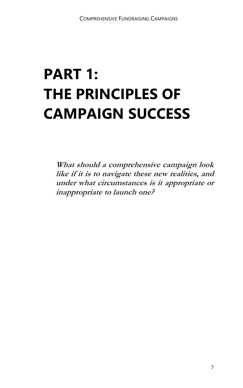# **PART 1: THE PRINCIPLES OF CAMPAIGN SUCCESS**

**What should a comprehensive campaign look like if it is to navigate these new realities, and under what circumstances is it appropriate or inappropriate to launch one?**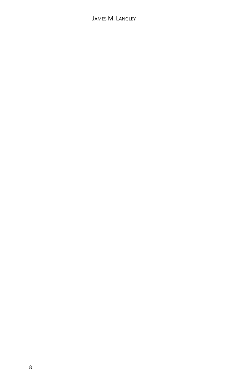#### JAMES M. LANGLEY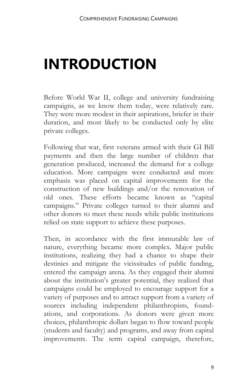# **INTRODUCTION**

Before World War II, college and university fundraising campaigns, as we know them today, were relatively rare. They were more modest in their aspirations, briefer in their duration, and most likely to be conducted only by elite private colleges.

Following that war, first veterans armed with their GI Bill payments and then the large number of children that generation produced, increased the demand for a college education. More campaigns were conducted and more emphasis was placed on capital improvements for the construction of new buildings and/or the renovation of old ones. These efforts became known as "capital campaigns." Private colleges turned to their alumni and other donors to meet these needs while public institutions relied on state support to achieve these purposes.

Then, in accordance with the first immutable law of nature, everything became more complex. Major public institutions, realizing they had a chance to shape their destinies and mitigate the vicissitudes of public funding, entered the campaign arena. As they engaged their alumni about the institution's greater potential, they realized that campaigns could be employed to encourage support for a variety of purposes and to attract support from a variety of sources including independent philanthropists, foundations, and corporations. As donors were given more choices, philanthropic dollars began to flow toward people (students and faculty) and programs, and away from capital improvements. The term capital campaign, therefore,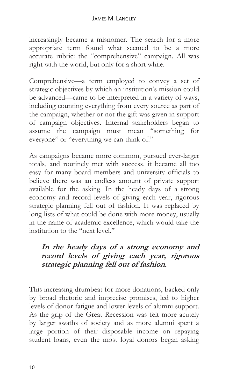increasingly became a misnomer. The search for a more appropriate term found what seemed to be a more accurate rubric: the "comprehensive" campaign. All was right with the world, but only for a short while.

Comprehensive—a term employed to convey a set of strategic objectives by which an institution's mission could be advanced—came to be interpreted in a variety of ways, including counting everything from every source as part of the campaign, whether or not the gift was given in support of campaign objectives. Internal stakeholders began to assume the campaign must mean "something for everyone" or "everything we can think of."

As campaigns became more common, pursued ever-larger totals, and routinely met with success, it became all too easy for many board members and university officials to believe there was an endless amount of private support available for the asking. In the heady days of a strong economy and record levels of giving each year, rigorous strategic planning fell out of fashion. It was replaced by long lists of what could be done with more money, usually in the name of academic excellence, which would take the institution to the "next level."

# **In the heady days of a strong economy and record levels of giving each year, rigorous strategic planning fell out of fashion.**

This increasing drumbeat for more donations, backed only by broad rhetoric and imprecise promises, led to higher levels of donor fatigue and lower levels of alumni support. As the grip of the Great Recession was felt more acutely by larger swaths of society and as more alumni spent a large portion of their disposable income on repaying student loans, even the most loyal donors began asking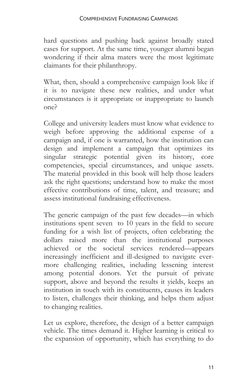hard questions and pushing back against broadly stated cases for support. At the same time, younger alumni began wondering if their alma maters were the most legitimate claimants for their philanthropy.

What, then, should a comprehensive campaign look like if it is to navigate these new realities, and under what circumstances is it appropriate or inappropriate to launch one?

College and university leaders must know what evidence to weigh before approving the additional expense of a campaign and, if one is warranted, how the institution can design and implement a campaign that optimizes its singular strategic potential given its history, core competencies, special circumstances, and unique assets. The material provided in this book will help those leaders ask the right questions; understand how to make the most effective contributions of time, talent, and treasure; and assess institutional fundraising effectiveness.

The generic campaign of the past few decades—in which institutions spent seven to 10 years in the field to secure funding for a wish list of projects, often celebrating the dollars raised more than the institutional purposes achieved or the societal services rendered—appears increasingly inefficient and ill-designed to navigate evermore challenging realities, including lessening interest among potential donors. Yet the pursuit of private support, above and beyond the results it yields, keeps an institution in touch with its constituents, causes its leaders to listen, challenges their thinking, and helps them adjust to changing realities.

Let us explore, therefore, the design of a better campaign vehicle. The times demand it. Higher learning is critical to the expansion of opportunity, which has everything to do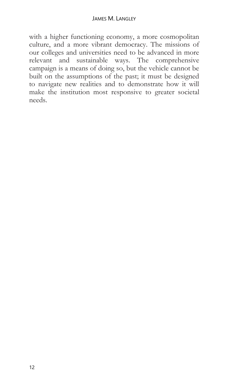with a higher functioning economy, a more cosmopolitan culture, and a more vibrant democracy. The missions of our colleges and universities need to be advanced in more relevant and sustainable ways. The comprehensive campaign is a means of doing so, but the vehicle cannot be built on the assumptions of the past; it must be designed to navigate new realities and to demonstrate how it will make the institution most responsive to greater societal needs.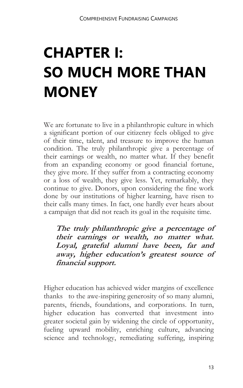# **CHAPTER I: SO MUCH MORE THAN MONEY**

We are fortunate to live in a philanthropic culture in which a significant portion of our citizenry feels obliged to give of their time, talent, and treasure to improve the human condition. The truly philanthropic give a percentage of their earnings or wealth, no matter what. If they benefit from an expanding economy or good financial fortune, they give more. If they suffer from a contracting economy or a loss of wealth, they give less. Yet, remarkably, they continue to give. Donors, upon considering the fine work done by our institutions of higher learning, have risen to their calls many times. In fact, one hardly ever hears about a campaign that did not reach its goal in the requisite time.

**The truly philanthropic give a percentage of their earnings or wealth, no matter what. Loyal, grateful alumni have been, far and away, higher education's greatest source of financial support.**

Higher education has achieved wider margins of excellence thanks to the awe-inspiring generosity of so many alumni, parents, friends, foundations, and corporations. In turn, higher education has converted that investment into greater societal gain by widening the circle of opportunity, fueling upward mobility, enriching culture, advancing science and technology, remediating suffering, inspiring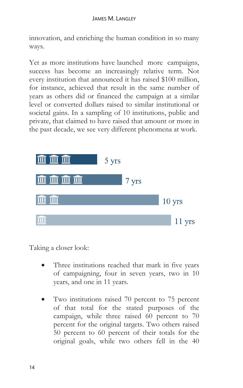innovation, and enriching the human condition in so many ways.

Yet as more institutions have launched more campaigns, success has become an increasingly relative term. Not every institution that announced it has raised \$100 million, for instance, achieved that result in the same number of years as others did or financed the campaign at a similar level or converted dollars raised to similar institutional or societal gains. In a sampling of 10 institutions, public and private, that claimed to have raised that amount or more in the past decade, we see very different phenomena at work.



Taking a closer look:

- Three institutions reached that mark in five years of campaigning, four in seven years, two in 10 years, and one in 11 years.
- Two institutions raised 70 percent to 75 percent of that total for the stated purposes of the campaign, while three raised 60 percent to 70 percent for the original targets. Two others raised 50 percent to 60 percent of their totals for the original goals, while two others fell in the 40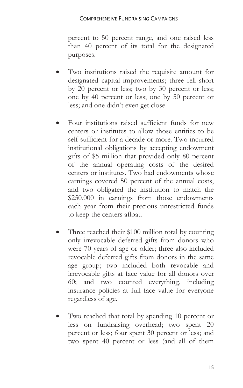#### COMPREHENSIVE FUNDRAISING CAMPAIGNS

percent to 50 percent range, and one raised less than 40 percent of its total for the designated purposes.

- Two institutions raised the requisite amount for designated capital improvements; three fell short by 20 percent or less; two by 30 percent or less; one by 40 percent or less; one by 50 percent or less; and one didn't even get close.
- Four institutions raised sufficient funds for new centers or institutes to allow those entities to be self-sufficient for a decade or more. Two incurred institutional obligations by accepting endowment gifts of \$5 million that provided only 80 percent of the annual operating costs of the desired centers or institutes. Two had endowments whose earnings covered 50 percent of the annual costs, and two obligated the institution to match the \$250,000 in earnings from those endowments each year from their precious unrestricted funds to keep the centers afloat.
- Three reached their \$100 million total by counting only irrevocable deferred gifts from donors who were 70 years of age or older; three also included revocable deferred gifts from donors in the same age group; two included both revocable and irrevocable gifts at face value for all donors over 60; and two counted everything, including insurance policies at full face value for everyone regardless of age.
- Two reached that total by spending 10 percent or less on fundraising overhead; two spent 20 percent or less; four spent 30 percent or less; and two spent 40 percent or less (and all of them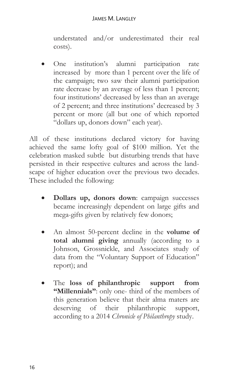understated and/or underestimated their real costs).

• One institution's alumni participation rate increased by more than 1 percent over the life of the campaign; two saw their alumni participation rate decrease by an average of less than 1 percent; four institutions' decreased by less than an average of 2 percent; and three institutions' decreased by 3 percent or more (all but one of which reported "dollars up, donors down" each year).

All of these institutions declared victory for having achieved the same lofty goal of \$100 million. Yet the celebration masked subtle but disturbing trends that have persisted in their respective cultures and across the landscape of higher education over the previous two decades. These included the following:

- **Dollars up, donors down**: campaign successes became increasingly dependent on large gifts and mega-gifts given by relatively few donors;
- An almost 50-percent decline in the **volume of total alumni giving** annually (according to a Johnson, Grossnickle, and Associates study of data from the "Voluntary Support of Education" report); and
- The loss of philanthropic support from **"Millennials"**: only one- third of the members of this generation believe that their alma maters are deserving of their philanthropic support, according to a 2014 *Chronicle of Philanthropy* study.